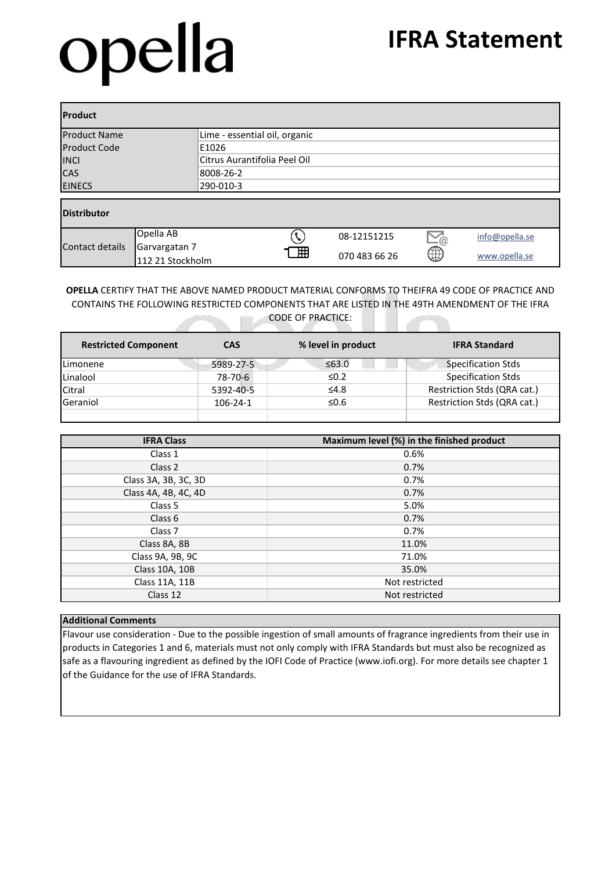## opella

| <b>Product</b>      |                                   |                               |   |               |                 |                |  |
|---------------------|-----------------------------------|-------------------------------|---|---------------|-----------------|----------------|--|
| <b>Product Name</b> |                                   | Lime - essential oil, organic |   |               |                 |                |  |
| <b>Product Code</b> |                                   | E1026                         |   |               |                 |                |  |
| <b>INCI</b>         |                                   | Citrus Aurantifolia Peel Oil  |   |               |                 |                |  |
| <b>CAS</b>          |                                   | 8008-26-2                     |   |               |                 |                |  |
| <b>EINECS</b>       |                                   | 290-010-3                     |   |               |                 |                |  |
| <b>Distributor</b>  |                                   |                               |   |               |                 |                |  |
|                     | Opella AB                         |                               |   | 08-12151215   | $\sum_{\omega}$ | info@opella.se |  |
| Contact details     | Garvargatan 7<br>112 21 Stockholm |                               | 冊 | 070 483 66 26 | ⊕               | www.opella.se  |  |

**OPELLA** CERTIFY THAT THE ABOVE NAMED PRODUCT MATERIAL CONFORMS TO THEIFRA 49 CODE OF PRACTICE AND CONTAINS THE FOLLOWING RESTRICTED COMPONENTS THAT ARE LISTED IN THE 49TH AMENDMENT OF THE IFRA CODE OF PRACTICE:

| <b>Restricted Component</b> | <b>CAS</b> | % level in product | <b>IFRA Standard</b>        |
|-----------------------------|------------|--------------------|-----------------------------|
| Limonene                    | 5989-27-5  | ≤63.0              | <b>Specification Stds</b>   |
| Linalool                    | 78-70-6    | $\leq 0.2$         | <b>Specification Stds</b>   |
| Citral                      | 5392-40-5  | $\leq 4.8$         | Restriction Stds (QRA cat.) |
| Geraniol                    | 106-24-1   | ≤0.6               | Restriction Stds (QRA cat.) |
|                             |            |                    |                             |

| <b>IFRA Class</b>    | Maximum level (%) in the finished product |
|----------------------|-------------------------------------------|
| Class 1              | 0.6%                                      |
| Class 2              | 0.7%                                      |
| Class 3A, 3B, 3C, 3D | 0.7%                                      |
| Class 4A, 4B, 4C, 4D | 0.7%                                      |
| Class 5              | 5.0%                                      |
| Class 6              | 0.7%                                      |
| Class <sub>7</sub>   | 0.7%                                      |
| Class 8A, 8B         | 11.0%                                     |
| Class 9A, 9B, 9C     | 71.0%                                     |
| Class 10A, 10B       | 35.0%                                     |
| Class 11A, 11B       | Not restricted                            |
| Class 12             | Not restricted                            |

## **Additional Comments**

Flavour use consideration - Due to the possible ingestion of small amounts of fragrance ingredients from their use in products in Categories 1 and 6, materials must not only comply with IFRA Standards but must also be recognized as safe as a flavouring ingredient as defined by the IOFI Code of Practice (www.iofi.org). For more details see chapter 1 of the Guidance for the use of IFRA Standards.